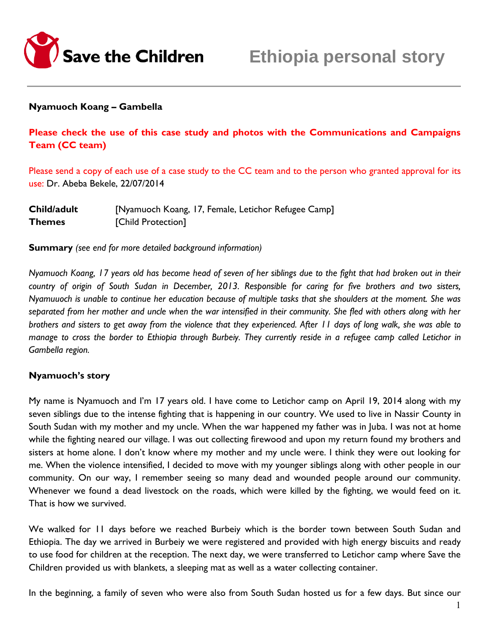

### **Nyamuoch Koang – Gambella**

**Please check the use of this case study and photos with the Communications and Campaigns Team (CC team)**

Please send a copy of each use of a case study to the CC team and to the person who granted approval for its use: Dr. Abeba Bekele, 22/07/2014

| Child/adult   | [Nyamuoch Koang, 17, Female, Letichor Refugee Camp] |
|---------------|-----------------------------------------------------|
| <b>Themes</b> | [Child Protection]                                  |

**Summary** *(see end for more detailed background information)*

*Nyamuoch Koang, 17 years old has become head of seven of her siblings due to the fight that had broken out in their country of origin of South Sudan in December, 2013. Responsible for caring for five brothers and two sisters, Nyamuuoch is unable to continue her education because of multiple tasks that she shoulders at the moment. She was separated from her mother and uncle when the war intensified in their community. She fled with others along with her brothers and sisters to get away from the violence that they experienced. After 11 days of long walk, she was able to manage to cross the border to Ethiopia through Burbeiy. They currently reside in a refugee camp called Letichor in Gambella region.* 

#### **Nyamuoch's story**

My name is Nyamuoch and I'm 17 years old. I have come to Letichor camp on April 19, 2014 along with my seven siblings due to the intense fighting that is happening in our country. We used to live in Nassir County in South Sudan with my mother and my uncle. When the war happened my father was in Juba. I was not at home while the fighting neared our village. I was out collecting firewood and upon my return found my brothers and sisters at home alone. I don't know where my mother and my uncle were. I think they were out looking for me. When the violence intensified, I decided to move with my younger siblings along with other people in our community. On our way, I remember seeing so many dead and wounded people around our community. Whenever we found a dead livestock on the roads, which were killed by the fighting, we would feed on it. That is how we survived.

We walked for 11 days before we reached Burbeiy which is the border town between South Sudan and Ethiopia. The day we arrived in Burbeiy we were registered and provided with high energy biscuits and ready to use food for children at the reception. The next day, we were transferred to Letichor camp where Save the Children provided us with blankets, a sleeping mat as well as a water collecting container.

In the beginning, a family of seven who were also from South Sudan hosted us for a few days. But since our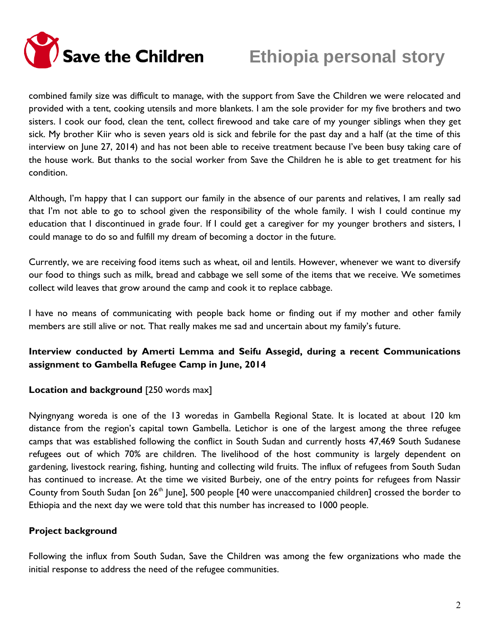

# **Ethiopia personal story**

combined family size was difficult to manage, with the support from Save the Children we were relocated and provided with a tent, cooking utensils and more blankets. I am the sole provider for my five brothers and two sisters. I cook our food, clean the tent, collect firewood and take care of my younger siblings when they get sick. My brother Kiir who is seven years old is sick and febrile for the past day and a half (at the time of this interview on June 27, 2014) and has not been able to receive treatment because I've been busy taking care of the house work. But thanks to the social worker from Save the Children he is able to get treatment for his condition.

Although, I'm happy that I can support our family in the absence of our parents and relatives, I am really sad that I'm not able to go to school given the responsibility of the whole family. I wish I could continue my education that I discontinued in grade four. If I could get a caregiver for my younger brothers and sisters, I could manage to do so and fulfill my dream of becoming a doctor in the future.

Currently, we are receiving food items such as wheat, oil and lentils. However, whenever we want to diversify our food to things such as milk, bread and cabbage we sell some of the items that we receive. We sometimes collect wild leaves that grow around the camp and cook it to replace cabbage.

I have no means of communicating with people back home or finding out if my mother and other family members are still alive or not. That really makes me sad and uncertain about my family's future.

## **Interview conducted by Amerti Lemma and Seifu Assegid, during a recent Communications assignment to Gambella Refugee Camp in June, 2014**

## **Location and background** [250 words max]

Nyingnyang woreda is one of the 13 woredas in Gambella Regional State. It is located at about 120 km distance from the region's capital town Gambella. Letichor is one of the largest among the three refugee camps that was established following the conflict in South Sudan and currently hosts 47,469 South Sudanese refugees out of which 70% are children. The livelihood of the host community is largely dependent on gardening, livestock rearing, fishing, hunting and collecting wild fruits. The influx of refugees from South Sudan has continued to increase. At the time we visited Burbeiy, one of the entry points for refugees from Nassir County from South Sudan [on  $26<sup>th</sup>$  June], 500 people [40 were unaccompanied children] crossed the border to Ethiopia and the next day we were told that this number has increased to 1000 people.

## **Project background**

Following the influx from South Sudan, Save the Children was among the few organizations who made the initial response to address the need of the refugee communities.